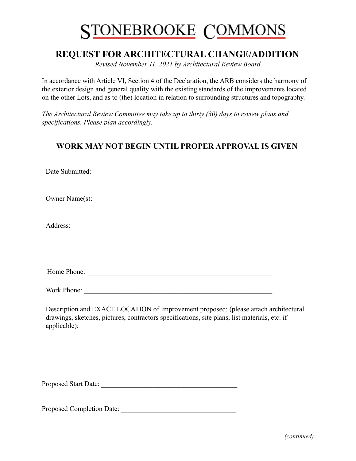# **STONEBROOKE COMMONS**

# **REQUEST FOR ARCHITECTURAL CHANGE/ADDITION**

*Revised November 11, 2021 by Architectural Review Board*

In accordance with Article VI, Section 4 of the Declaration, the ARB considers the harmony of the exterior design and general quality with the existing standards of the improvements located on the other Lots, and as to (the) location in relation to surrounding structures and topography.

*The Architectural Review Committee may take up to thirty (30) days to review plans and specifications. Please plan accordingly.*

# **WORK MAY NOT BEGIN UNTIL PROPER APPROVAL IS GIVEN**

| Date Submitted: |
|-----------------|
|                 |
|                 |
|                 |
| Home Phone:     |
| Work Phone:     |

Description and EXACT LOCATION of Improvement proposed: (please attach architectural drawings, sketches, pictures, contractors specifications, site plans, list materials, etc. if applicable):

Proposed Start Date:

Proposed Completion Date: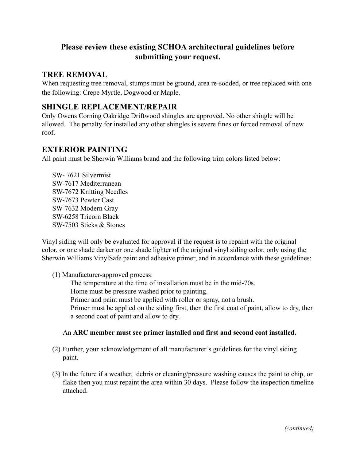## **Please review these existing SCHOA architectural guidelines before submitting your request.**

#### **TREE REMOVAL**

When requesting tree removal, stumps must be ground, area re-sodded, or tree replaced with one the following: Crepe Myrtle, Dogwood or Maple.

### **SHINGLE REPLACEMENT/REPAIR**

Only Owens Corning Oakridge Driftwood shingles are approved. No other shingle will be allowed. The penalty for installed any other shingles is severe fines or forced removal of new roof.

## **EXTERIOR PAINTING**

All paint must be Sherwin Williams brand and the following trim colors listed below:

SW- 7621 Silvermist SW-7617 Mediterranean SW-7672 Knitting Needles SW-7673 Pewter Cast SW-7632 Modern Gray SW-6258 Tricorn Black SW-7503 Sticks & Stones

Vinyl siding will only be evaluated for approval if the request is to repaint with the original color, or one shade darker or one shade lighter of the original vinyl siding color, only using the Sherwin Williams VinylSafe paint and adhesive primer, and in accordance with these guidelines:

(1) Manufacturer-approved process:

The temperature at the time of installation must be in the mid-70s. Home must be pressure washed prior to painting.

Primer and paint must be applied with roller or spray, not a brush.

Primer must be applied on the siding first, then the first coat of paint, allow to dry, then a second coat of paint and allow to dry.

#### An **ARC member must see primer installed and first and second coat installed.**

- (2) Further, your acknowledgement of all manufacturer's guidelines for the vinyl siding paint.
- (3) In the future if a weather, debris or cleaning/pressure washing causes the paint to chip, or flake then you must repaint the area within 30 days. Please follow the inspection timeline attached.